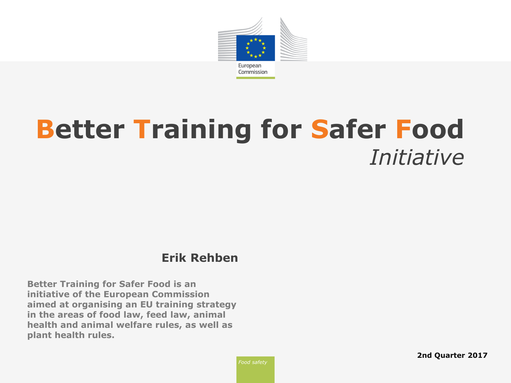

## **Better Training for Safer Food** *Initiative*

#### **Erik Rehben**

**Better Training for Safer Food is an initiative of the European Commission aimed at organising an EU training strategy in the areas of food law, feed law, animal health and animal welfare rules, as well as plant health rules.**

*Food safety*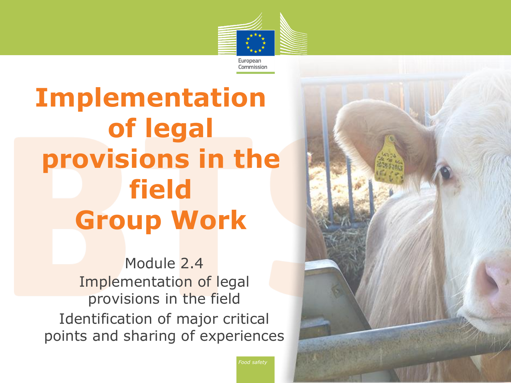

# **Implementation of legal provisions in the field Group Work**

Module 2.4 Implementation of legal provisions in the field Identification of major critical points and sharing of experiences



*Food safety*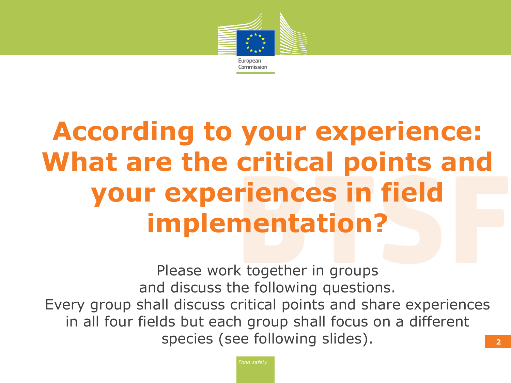

# **According to your experience: What are the critical points and your experiences in field implementation?**

Please work together in groups and discuss the following questions. Every group shall discuss critical points and share experiences in all four fields but each group shall focus on a different species (see following slides).

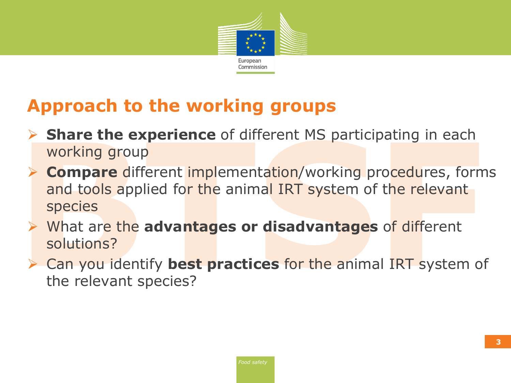

### **Approach to the working groups**

- **Share the experience** of different MS participating in each working group
- **Compare** different implementation/working procedures, forms and tools applied for the animal IRT system of the relevant species
- What are the **advantages or disadvantages** of different solutions?
- Can you identify **best practices** for the animal IRT system of the relevant species?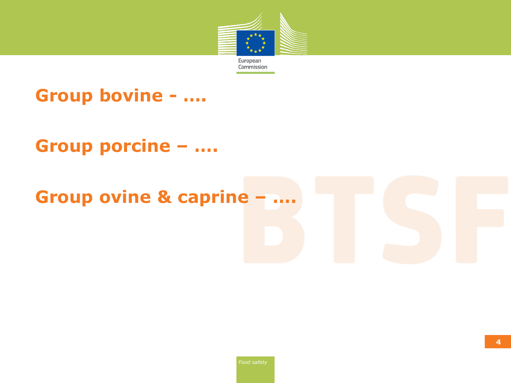

#### **Group bovine - ….**

#### **Group porcine – ….**

#### **Group ovine & caprine – ….**

**4**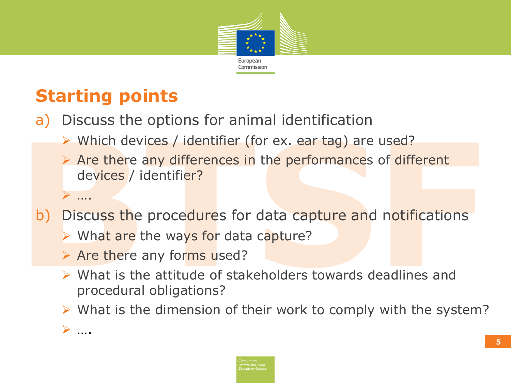

## **Starting points**

- a) Discuss the options for animal identification
	- > Which devices / identifier (for ex. ear tag) are used?
	- $\triangleright$  Are there any differences in the performances of different devices / identifier?
- b) Discuss the procedures for data capture and notifications
	- $\triangleright$  What are the ways for data capture?
	- $\triangleright$  Are there any forms used?
	- $\triangleright$  What is the attitude of stakeholders towards deadlines and procedural obligations?
	- $\triangleright$  What is the dimension of their work to comply with the system?

….

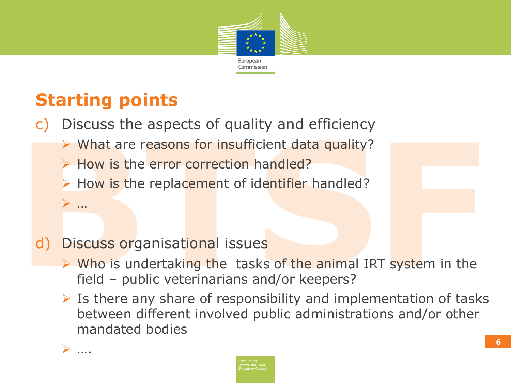

## **Starting points**

- c) Discuss the aspects of quality and efficiency
	- $\triangleright$  What are reasons for insufficient data quality?
	- $\triangleright$  How is the error correction handled?
	- $\triangleright$  How is the replacement of identifier handled?

- d) Discuss organisational issues
	- Who is undertaking the tasks of the animal IRT system in the field – public veterinarians and/or keepers?
	- $\triangleright$  Is there any share of responsibility and implementation of tasks between different involved public administrations and/or other mandated bodies



…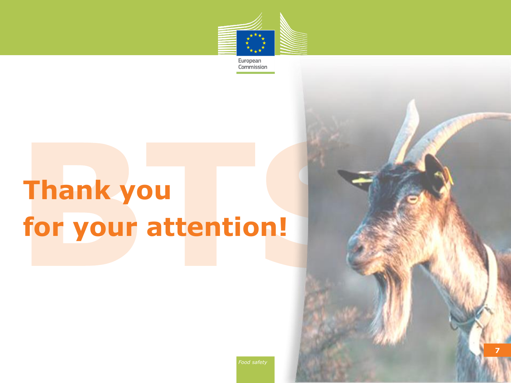

European Commission

# **Thank you for your attention!**



**7 7**